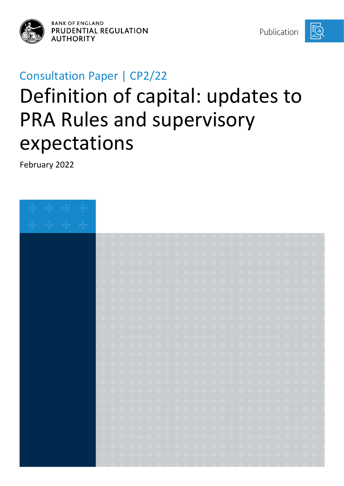

**BANK OF ENGLAND** PRUDENTIAL REGULATION **AUTHORITY** 

Publication

## Consultation Paper | CP2/22

# Definition of capital: updates to PRA Rules and supervisory expectations

February 2022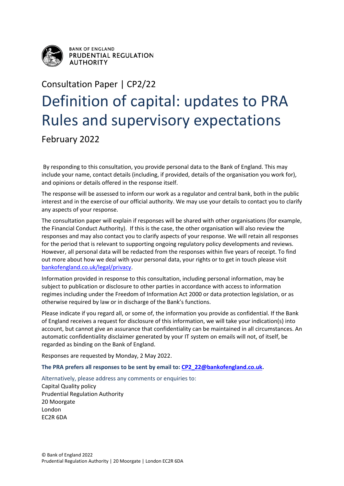

**BANK OF ENGLAND** PRUDENTIAL REGULATION **AUTHORITY** 

## Consultation Paper | CP2/22 Definition of capital: updates to PRA Rules and supervisory expectations

February 2022

By responding to this consultation, you provide personal data to the Bank of England. This may include your name, contact details (including, if provided, details of the organisation you work for), and opinions or details offered in the response itself.

The response will be assessed to inform our work as a regulator and central bank, both in the public interest and in the exercise of our official authority. We may use your details to contact you to clarify any aspects of your response.

The consultation paper will explain if responses will be shared with other organisations (for example, the Financial Conduct Authority). If this is the case, the other organisation will also review the responses and may also contact you to clarify aspects of your response. We will retain all responses for the period that is relevant to supporting ongoing regulatory policy developments and reviews. However, all personal data will be redacted from the responses within five years of receipt. To find out more about how we deal with your personal data, your rights or to get in touch please visit [bankofengland.co.uk/legal/privacy.](http://www.bankofengland.co.uk/legal/privacy)

Information provided in response to this consultation, including personal information, may be subject to publication or disclosure to other parties in accordance with access to information regimes including under the Freedom of Information Act 2000 or data protection legislation, or as otherwise required by law or in discharge of the Bank's functions.

Please indicate if you regard all, or some of, the information you provide as confidential. If the Bank of England receives a request for disclosure of this information, we will take your indication(s) into account, but cannot give an assurance that confidentiality can be maintained in all circumstances. An automatic confidentiality disclaimer generated by your IT system on emails will not, of itself, be regarded as binding on the Bank of England.

Responses are requested by Monday, 2 May 2022.

**The PRA prefers all responses to be sent by email to: [CP2\\_22@bankofengland.co.uk.](mailto:CP2_22@bankofengland.co.uk)**

Alternatively, please address any comments or enquiries to: Capital Quality policy

Prudential Regulation Authority 20 Moorgate London EC2R 6DA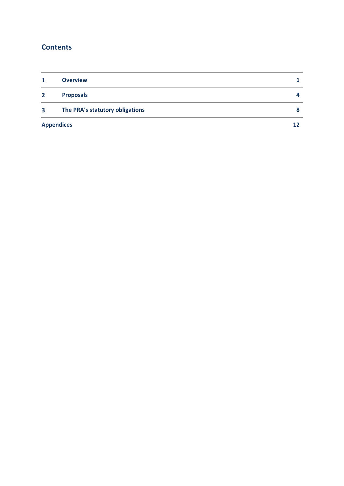#### **Contents**

| 1                 | <b>Overview</b>                 |            |
|-------------------|---------------------------------|------------|
| $\mathbf{2}$      | <b>Proposals</b>                | $\sqrt{ }$ |
| 3                 | The PRA's statutory obligations |            |
| <b>Appendices</b> |                                 | 12         |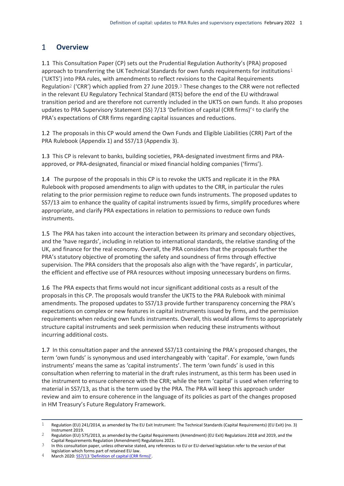#### <span id="page-3-0"></span> $\mathbf{1}$ **Overview**

1.1 This Consultation Paper (CP) sets out the Prudential Regulation Authority's (PRA) proposed approach to transferring the UK Technical Standards for own funds requirements for institutions<sup>1</sup> ('UKTS') into PRA rules, with amendments to reflect revisions to the Capital Requirements Regulation2 ('CRR') which applied from 27 June 2019.3 These changes to the CRR were not reflected in the relevant EU Regulatory Technical Standard (RTS) before the end of the EU withdrawal transition period and are therefore not currently included in the UKTS on own funds. It also proposes updates to PRA Supervisory Statement (SS) 7/13 'Definition of capital (CRR firms)'4 to clarify the PRA's expectations of CRR firms regarding capital issuances and reductions.

1.2 The proposals in this CP would amend the Own Funds and Eligible Liabilities (CRR) Part of the PRA Rulebook (Appendix 1) and SS7/13 (Appendix 3).

1.3 This CP is relevant to banks, building societies, PRA-designated investment firms and PRAapproved, or PRA-designated, financial or mixed financial holding companies ('firms').

1.4 The purpose of the proposals in this CP is to revoke the UKTS and replicate it in the PRA Rulebook with proposed amendments to align with updates to the CRR, in particular the rules relating to the prior permission regime to reduce own funds instruments. The proposed updates to SS7/13 aim to enhance the quality of capital instruments issued by firms, simplify procedures where appropriate, and clarify PRA expectations in relation to permissions to reduce own funds instruments.

1.5 The PRA has taken into account the interaction between its primary and secondary objectives, and the 'have regards', including in relation to international standards, the relative standing of the UK, and finance for the real economy. Overall, the PRA considers that the proposals further the PRA's statutory objective of promoting the safety and soundness of firms through effective supervision. The PRA considers that the proposals also align with the 'have regards', in particular, the efficient and effective use of PRA resources without imposing unnecessary burdens on firms.

1.6 The PRA expects that firms would not incur significant additional costs as a result of the proposals in this CP. The proposals would transfer the UKTS to the PRA Rulebook with minimal amendments. The proposed updates to SS7/13 provide further transparency concerning the PRA's expectations on complex or new features in capital instruments issued by firms, and the permission requirements when reducing own funds instruments. Overall, this would allow firms to appropriately structure capital instruments and seek permission when reducing these instruments without incurring additional costs.

1.7 In this consultation paper and the annexed SS7/13 containing the PRA's proposed changes, the term 'own funds' is synonymous and used interchangeably with 'capital'. For example, 'own funds instruments' means the same as 'capital instruments'. The term 'own funds' is used in this consultation when referring to material in the draft rules instrument, as this term has been used in the instrument to ensure coherence with the CRR; while the term 'capital' is used when referring to material in SS7/13, as that is the term used by the PRA. The PRA will keep this approach under review and aim to ensure coherence in the language of its policies as part of the changes proposed in HM Treasury's Future Regulatory Framework.

4 March 2020[: SS7/13 'Definition of capital \(CRR firms\)'.](https://www.bankofengland.co.uk/prudential-regulation/publication/2013/crdiv-and-capital-ss)

 $\mathbf{1}$ 1 Regulation (EU) 241/2014, as amended by The EU Exit Instrument: The Technical Standards (Capital Requirements) (EU Exit) (no. 3) Instrument 2019.

<sup>2</sup> Regulation (EU) 575/2013, as amended by the Capital Requirements (Amendment) (EU Exit) Regulations 2018 and 2019, and the Capital Requirements Regulation (Amendment) Regulations 2021.

<sup>&</sup>lt;sup>3</sup> In this consultation paper, unless otherwise stated, any references to EU or EU-derived legislation refer to the version of that legislation which forms part of retained EU law.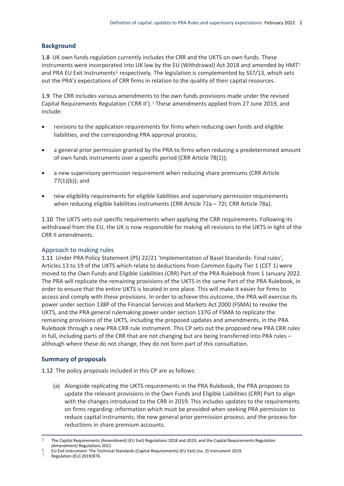#### **Background**

1.8 UK own funds regulation currently includes the CRR and the UKTS on own funds. These instruments were incorporated into UK law by the EU (Withdrawal) Act 2018 and amended by HMT5 and PRA EU Exit Instruments<sup>6</sup> respectively. The legislation is complemented by SS7/13, which sets out the PRA's expectations of CRR firms in relation to the quality of their capital resources.

1.9 The CRR includes various amendments to the own funds provisions made under the revised Capital Requirements Regulation ('CRR II').7 These amendments applied from 27 June 2019, and include:

- revisions to the application requirements for firms when reducing own funds and eligible liabilities, and the corresponding PRA approval process;
- a general prior permission granted by the PRA to firms when reducing a predetermined amount of own funds instruments over a specific period (CRR Article 78(1));
- a new supervisory permission requirement when reducing share premiums (CRR Article 77(1)(b)); and
- new eligibility requirements for eligible liabilities and supervisory permission requirements when reducing eligible liabilities instruments (CRR Article 72a – 72l; CRR Article 78a).

1.10 The UKTS sets out specific requirements when applying the CRR requirements. Following its withdrawal from the EU, the UK is now responsible for making all revisions to the UKTS in light of the CRR II amendments.

#### Approach to making rules

1.11 Under PRA Policy Statement (PS) 22/21 'Implementation of Basel Standards: Final rules', Articles 13 to 19 of the UKTS which relate to deductions from Common Equity Tier 1 (CET 1) were moved to the Own Funds and Eligible Liabilities (CRR) Part of the PRA Rulebook from 1 January 2022. The PRA will replicate the remaining provisions of the UKTS in the same Part of the PRA Rulebook, in order to ensure that the entire UKTS is located in one place. This will make it easier for firms to access and comply with these provisions. In order to achieve this outcome, the PRA will exercise its power under section 138P of the Financial Services and Markets Act 2000 (FSMA) to revoke the UKTS, and the PRA general rulemaking power under section 137G of FSMA to replicate the remaining provisions of the UKTS, including the proposed updates and amendments, in the PRA Rulebook through a new PRA CRR rule instrument. This CP sets out the proposed new PRA CRR rules in full, including parts of the CRR that are not changing but are being transferred into PRA rules – although where these do not change, they do not form part of this consultation.

#### **Summary of proposals**

1.12 The policy proposals included in this CP are as follows:

(a) Alongside replicating the UKTS requirements in the PRA Rulebook, the PRA proposes to update the relevant provisions in the Own Funds and Eligible Liabilities (CRR) Part to align with the changes introduced to the CRR in 2019. This includes updates to the requirements on firms regarding: information which must be provided when seeking PRA permission to reduce capital instruments; the new general prior permission process; and the process for reductions in share premium accounts.

 $\overline{5}$ 5 The Capital Requirements (Amendment) (EU Exit) Regulations 2018 and 2019, and the Capital Requirements Regulation (Amendment) Regulations 2021.

<sup>6</sup> EU Exit Instrument: The Technical Standards (Capital Requirements) (EU Exit) (no. 3) Instrument 2019.

<sup>7</sup> Regulation (EU) 2019/876.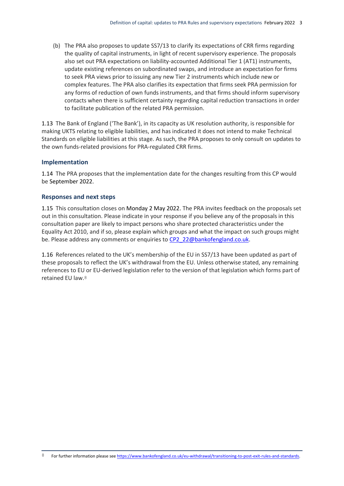(b) The PRA also proposes to update SS7/13 to clarify its expectations of CRR firms regarding the quality of capital instruments, in light of recent supervisory experience. The proposals also set out PRA expectations on liability-accounted Additional Tier 1 (AT1) instruments, update existing references on subordinated swaps, and introduce an expectation for firms to seek PRA views prior to issuing any new Tier 2 instruments which include new or complex features. The PRA also clarifies its expectation that firms seek PRA permission for any forms of reduction of own funds instruments, and that firms should inform supervisory contacts when there is sufficient certainty regarding capital reduction transactions in order to facilitate publication of the related PRA permission.

1.13 The Bank of England ('The Bank'), in its capacity as UK resolution authority, is responsible for making UKTS relating to eligible liabilities, and has indicated it does not intend to make Technical Standards on eligible liabilities at this stage. As such, the PRA proposes to only consult on updates to the own funds-related provisions for PRA-regulated CRR firms.

#### **Implementation**

1.14 The PRA proposes that the implementation date for the changes resulting from this CP would be September 2022.

#### **Responses and next steps**

1.15 This consultation closes on Monday 2 May 2022. The PRA invites feedback on the proposals set out in this consultation. Please indicate in your response if you believe any of the proposals in this consultation paper are likely to impact persons who share protected characteristics under the Equality Act 2010, and if so, please explain which groups and what the impact on such groups might be. Please address any comments or enquiries to [CP2\\_22@bankofengland.co.uk.](mailto:CP2_22@bankofengland.co.uk)

1.16 References related to the UK's membership of the EU in SS7/13 have been updated as part of these proposals to reflect the UK's withdrawal from the EU. Unless otherwise stated, any remaining references to EU or EU-derived legislation refer to the version of that legislation which forms part of retained EU law.8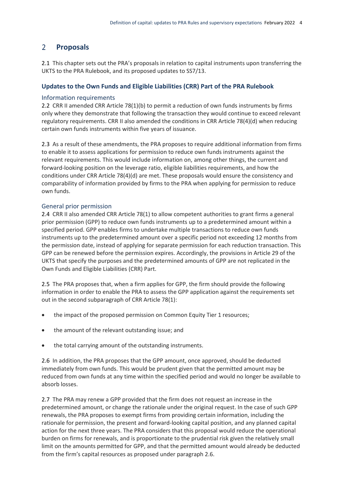#### <span id="page-6-0"></span> $2<sup>1</sup>$ **Proposals**

2.1 This chapter sets out the PRA's proposals in relation to capital instruments upon transferring the UKTS to the PRA Rulebook, and its proposed updates to SS7/13.

#### **Updates to the Own Funds and Eligible Liabilities (CRR) Part of the PRA Rulebook**

#### Information requirements

2.2 CRR II amended CRR Article 78(1)(b) to permit a reduction of own funds instruments by firms only where they demonstrate that following the transaction they would continue to exceed relevant regulatory requirements. CRR II also amended the conditions in CRR Article 78(4)(d) when reducing certain own funds instruments within five years of issuance.

2.3 As a result of these amendments, the PRA proposes to require additional information from firms to enable it to assess applications for permission to reduce own funds instruments against the relevant requirements. This would include information on, among other things, the current and forward-looking position on the leverage ratio, eligible liabilities requirements, and how the conditions under CRR Article 78(4)(d) are met. These proposals would ensure the consistency and comparability of information provided by firms to the PRA when applying for permission to reduce own funds.

#### General prior permission

2.4 CRR II also amended CRR Article 78(1) to allow competent authorities to grant firms a general prior permission (GPP) to reduce own funds instruments up to a predetermined amount within a specified period. GPP enables firms to undertake multiple transactions to reduce own funds instruments up to the predetermined amount over a specific period not exceeding 12 months from the permission date, instead of applying for separate permission for each reduction transaction. This GPP can be renewed before the permission expires. Accordingly, the provisions in Article 29 of the UKTS that specify the purposes and the predetermined amounts of GPP are not replicated in the Own Funds and Eligible Liabilities (CRR) Part.

2.5 The PRA proposes that, when a firm applies for GPP, the firm should provide the following information in order to enable the PRA to assess the GPP application against the requirements set out in the second subparagraph of CRR Article 78(1):

- the impact of the proposed permission on Common Equity Tier 1 resources;
- the amount of the relevant outstanding issue; and
- the total carrying amount of the outstanding instruments.

2.6 In addition, the PRA proposes that the GPP amount, once approved, should be deducted immediately from own funds. This would be prudent given that the permitted amount may be reduced from own funds at any time within the specified period and would no longer be available to absorb losses.

2.7 The PRA may renew a GPP provided that the firm does not request an increase in the predetermined amount, or change the rationale under the original request. In the case of such GPP renewals, the PRA proposes to exempt firms from providing certain information, including the rationale for permission, the present and forward-looking capital position, and any planned capital action for the next three years. The PRA considers that this proposal would reduce the operational burden on firms for renewals, and is proportionate to the prudential risk given the relatively small limit on the amounts permitted for GPP, and that the permitted amount would already be deducted from the firm's capital resources as proposed under paragraph 2.6.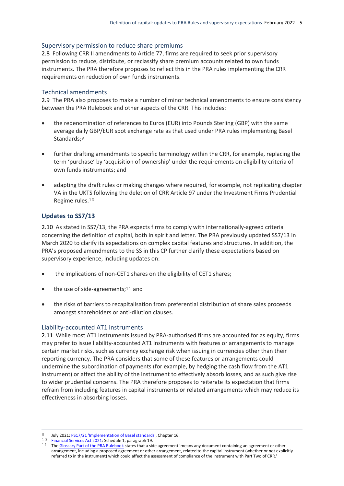#### Supervisory permission to reduce share premiums

2.8 Following CRR II amendments to Article 77, firms are required to seek prior supervisory permission to reduce, distribute, or reclassify share premium accounts related to own funds instruments. The PRA therefore proposes to reflect this in the PRA rules implementing the CRR requirements on reduction of own funds instruments.

#### Technical amendments

2.9 The PRA also proposes to make a number of minor technical amendments to ensure consistency between the PRA Rulebook and other aspects of the CRR. This includes:

- the redenomination of references to Euros (EUR) into Pounds Sterling (GBP) with the same average daily GBP/EUR spot exchange rate as that used under PRA rules implementing Basel Standards:<sup>9</sup>
- further drafting amendments to specific terminology within the CRR, for example, replacing the term 'purchase' by 'acquisition of ownership' under the requirements on eligibility criteria of own funds instruments; and
- adapting the draft rules or making changes where required, for example, not replicating chapter VA in the UKTS following the deletion of CRR Article 97 under the Investment Firms Prudential Regime rules.10

#### **Updates to SS7/13**

2.10 As stated in SS7/13, the PRA expects firms to comply with internationally-agreed criteria concerning the definition of capital, both in spirit and letter. The PRA previously updated SS7/13 in March 2020 to clarify its expectations on complex capital features and structures. In addition, the PRA's proposed amendments to the SS in this CP further clarify these expectations based on supervisory experience, including updates on:

- the implications of non-CET1 shares on the eligibility of CET1 shares;
- $\bullet$  the use of side-agreements;<sup>11</sup> and
- the risks of barriers to recapitalisation from preferential distribution of share sales proceeds amongst shareholders or anti-dilution clauses.

#### Liability-accounted AT1 instruments

2.11 While most AT1 instruments issued by PRA-authorised firms are accounted for as equity, firms may prefer to issue liability-accounted AT1 instruments with features or arrangements to manage certain market risks, such as currency exchange risk when issuing in currencies other than their reporting currency. The PRA considers that some of these features or arrangements could undermine the subordination of payments (for example, by hedging the cash flow from the AT1 instrument) or affect the ability of the instrument to effectively absorb losses, and as such give rise to wider prudential concerns. The PRA therefore proposes to reiterate its expectation that firms refrain from including features in capital instruments or related arrangements which may reduce its effectiveness in absorbing losses.

<sup>1</sup> <sup>9</sup> July 2021: **PS17/21 'Implementation of Basel standards'**, Chapter 16.

<sup>10</sup> [Financial Services Act 2021:](https://www.legislation.gov.uk/ukpga/2021/22/schedule/1/enacted) Schedule 1, paragraph 19.

<sup>11</sup> Th[e Glossary Part of the PRA Rulebook](https://www.prarulebook.co.uk/rulebook/Glossary/FullDefinition/108318) states that a side agreement 'means any document containing an agreement or other arrangement, including a proposed agreement or other arrangement, related to the capital instrument (whether or not explicitly referred to in the instrument) which could affect the assessment of compliance of the instrument with Part Two of CRR.'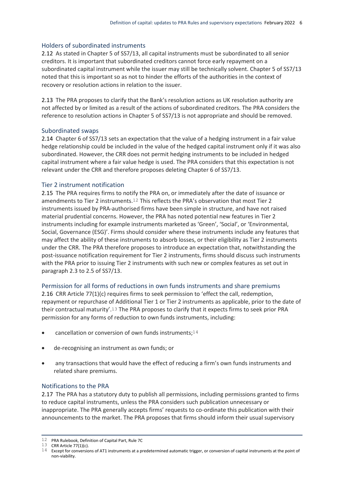#### Holders of subordinated instruments

2.12 As stated in Chapter 5 of SS7/13, all capital instruments must be subordinated to all senior creditors. It is important that subordinated creditors cannot force early repayment on a subordinated capital instrument while the issuer may still be technically solvent. Chapter 5 of SS7/13 noted that this is important so as not to hinder the efforts of the authorities in the context of recovery or resolution actions in relation to the issuer.

2.13 The PRA proposes to clarify that the Bank's resolution actions as UK resolution authority are not affected by or limited as a result of the actions of subordinated creditors. The PRA considers the reference to resolution actions in Chapter 5 of SS7/13 is not appropriate and should be removed.

#### Subordinated swaps

2.14 Chapter 6 of SS7/13 sets an expectation that the value of a hedging instrument in a fair value hedge relationship could be included in the value of the hedged capital instrument only if it was also subordinated. However, the CRR does not permit hedging instruments to be included in hedged capital instrument where a fair value hedge is used. The PRA considers that this expectation is not relevant under the CRR and therefore proposes deleting Chapter 6 of SS7/13.

#### Tier 2 instrument notification

2.15 The PRA requires firms to notify the PRA on, or immediately after the date of issuance or amendments to Tier 2 instruments.12 This reflects the PRA's observation that most Tier 2 instruments issued by PRA-authorised firms have been simple in structure, and have not raised material prudential concerns. However, the PRA has noted potential new features in Tier 2 instruments including for example instruments marketed as 'Green', 'Social', or 'Environmental, Social, Governance (ESG)'. Firms should consider where these instruments include any features that may affect the ability of these instruments to absorb losses, or their eligibility as Tier 2 instruments under the CRR. The PRA therefore proposes to introduce an expectation that, notwithstanding the post-issuance notification requirement for Tier 2 instruments, firms should discuss such instruments with the PRA prior to issuing Tier 2 instruments with such new or complex features as set out in paragraph 2.3 to 2.5 of SS7/13.

#### Permission for all forms of reductions in own funds instruments and share premiums

2.16 CRR Article 77(1)(c) requires firms to seek permission to 'effect the call, redemption, repayment or repurchase of Additional Tier 1 or Tier 2 instruments as applicable, prior to the date of their contractual maturity'.13 The PRA proposes to clarify that it expects firms to seek prior PRA permission for any forms of reduction to own funds instruments, including:

- cancellation or conversion of own funds instruments;<sup>14</sup>
- de-recognising an instrument as own funds; or
- any transactions that would have the effect of reducing a firm's own funds instruments and related share premiums.

#### Notifications to the PRA

2.17 The PRA has a statutory duty to publish all permissions, including permissions granted to firms to reduce capital instruments, unless the PRA considers such publication unnecessary or inappropriate. The PRA generally accepts firms' requests to co-ordinate this publication with their announcements to the market. The PRA proposes that firms should inform their usual supervisory

1

 $12$  PRA Rulebook, Definition of Capital Part, Rule 7C

 $13$  CRR Article 77(1)(c).

<sup>14</sup> Except for conversions of AT1 instruments at a predetermined automatic trigger, or conversion of capital instruments at the point of non-viability.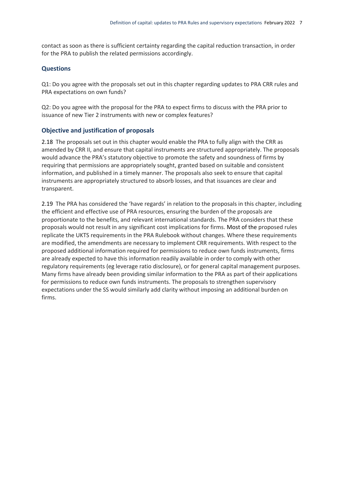contact as soon as there is sufficient certainty regarding the capital reduction transaction, in order for the PRA to publish the related permissions accordingly.

#### **Questions**

Q1: Do you agree with the proposals set out in this chapter regarding updates to PRA CRR rules and PRA expectations on own funds?

Q2: Do you agree with the proposal for the PRA to expect firms to discuss with the PRA prior to issuance of new Tier 2 instruments with new or complex features?

#### **Objective and justification of proposals**

2.18 The proposals set out in this chapter would enable the PRA to fully align with the CRR as amended by CRR II, and ensure that capital instruments are structured appropriately. The proposals would advance the PRA's statutory objective to promote the safety and soundness of firms by requiring that permissions are appropriately sought, granted based on suitable and consistent information, and published in a timely manner. The proposals also seek to ensure that capital instruments are appropriately structured to absorb losses, and that issuances are clear and transparent.

2.19 The PRA has considered the 'have regards' in relation to the proposals in this chapter, including the efficient and effective use of PRA resources, ensuring the burden of the proposals are proportionate to the benefits, and relevant international standards. The PRA considers that these proposals would not result in any significant cost implications for firms. Most of the proposed rules replicate the UKTS requirements in the PRA Rulebook without changes. Where these requirements are modified, the amendments are necessary to implement CRR requirements. With respect to the proposed additional information required for permissions to reduce own funds instruments, firms are already expected to have this information readily available in order to comply with other regulatory requirements (eg leverage ratio disclosure), or for general capital management purposes. Many firms have already been providing similar information to the PRA as part of their applications for permissions to reduce own funds instruments. The proposals to strengthen supervisory expectations under the SS would similarly add clarity without imposing an additional burden on firms.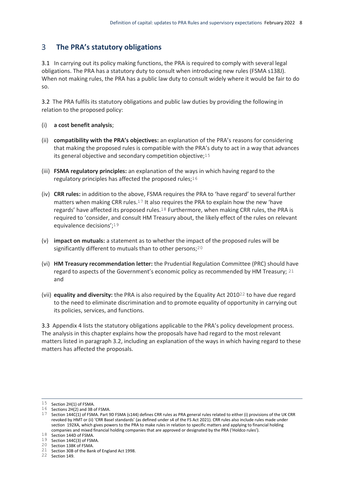#### <span id="page-10-0"></span> $3<sup>1</sup>$ **The PRA's statutory obligations**

3.1 In carrying out its policy making functions, the PRA is required to comply with several legal obligations. The PRA has a statutory duty to consult when introducing new rules (FSMA s138J). When not making rules, the PRA has a public law duty to consult widely where it would be fair to do so.

3.2 The PRA fulfils its statutory obligations and public law duties by providing the following in relation to the proposed policy:

- (i) **a cost benefit analysis**;
- (ii) **compatibility with the PRA's objectives:** an explanation of the PRA's reasons for considering that making the proposed rules is compatible with the PRA's duty to act in a way that advances its general objective and secondary competition objective;15
- (iii) **FSMA regulatory principles:** an explanation of the ways in which having regard to the regulatory principles has affected the proposed rules;16
- (iv) **CRR rules:** in addition to the above, FSMA requires the PRA to 'have regard' to several further matters when making CRR rules.<sup>17</sup> It also requires the PRA to explain how the new 'have regards' have affected its proposed rules.18 Furthermore, when making CRR rules, the PRA is required to 'consider, and consult HM Treasury about, the likely effect of the rules on relevant equivalence decisions';19
- (v) **impact on mutuals:** a statement as to whether the impact of the proposed rules will be significantly different to mutuals than to other persons;<sup>20</sup>
- (vi) **HM Treasury recommendation letter:** the Prudential Regulation Committee (PRC) should have regard to aspects of the Government's economic policy as recommended by HM Treasury; 21 and
- (vii) **equality and diversity:** the PRA is also required by the Equality Act 201022 to have due regard to the need to eliminate discrimination and to promote equality of opportunity in carrying out its policies, services, and functions.

3.3 Appendix 4 lists the statutory obligations applicable to the PRA's policy development process. The analysis in this chapter explains how the proposals have had regard to the most relevant matters listed in paragraph 3.2, including an explanation of the ways in which having regard to these matters has affected the proposals.

1

 $15$  Section 2H(1) of FSMA.

 $16$  Sections 2H(2) and 3B of FSMA.

 $17$  Section 144C(1) of FSMA. Part 9D FSMA (s144) defines CRR rules as PRA general rules related to either (i) provisions of the UK CRR revoked by HMT or (ii) 'CRR Basel standards' (as defined under s4 of the FS Act 2021). CRR rules also include rules made under section 192XA, which gives powers to the PRA to make rules in relation to specific matters and applying to financial holding companies and mixed financial holding companies that are approved or designated by the PRA ('Holdco rules').

<sup>18</sup> Section 144D of FSMA.

 $19$  Section 144C(3) of FSMA.

<sup>20</sup> Section 138K of FSMA. 21 Section 30B of the Bank of England Act 1998.

<sup>22</sup> Section 149.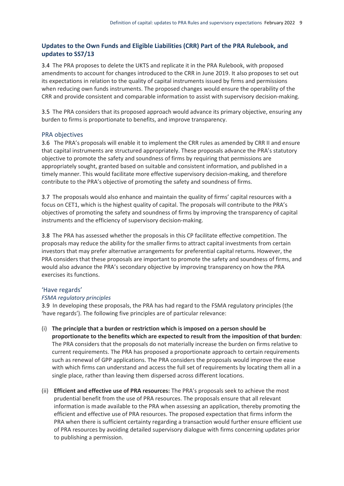#### **Updates to the Own Funds and Eligible Liabilities (CRR) Part of the PRA Rulebook, and updates to SS7/13**

3.4 The PRA proposes to delete the UKTS and replicate it in the PRA Rulebook, with proposed amendments to account for changes introduced to the CRR in June 2019. It also proposes to set out its expectations in relation to the quality of capital instruments issued by firms and permissions when reducing own funds instruments. The proposed changes would ensure the operability of the CRR and provide consistent and comparable information to assist with supervisory decision-making.

3.5 The PRA considers that its proposed approach would advance its primary objective, ensuring any burden to firms is proportionate to benefits, and improve transparency.

#### PRA objectives

3.6 The PRA's proposals will enable it to implement the CRR rules as amended by CRR II and ensure that capital instruments are structured appropriately. These proposals advance the PRA's statutory objective to promote the safety and soundness of firms by requiring that permissions are appropriately sought, granted based on suitable and consistent information, and published in a timely manner. This would facilitate more effective supervisory decision-making, and therefore contribute to the PRA's objective of promoting the safety and soundness of firms.

3.7 The proposals would also enhance and maintain the quality of firms' capital resources with a focus on CET1, which is the highest quality of capital. The proposals will contribute to the PRA's objectives of promoting the safety and soundness of firms by improving the transparency of capital instruments and the efficiency of supervisory decision-making.

3.8 The PRA has assessed whether the proposals in this CP facilitate effective competition. The proposals may reduce the ability for the smaller firms to attract capital investments from certain investors that may prefer alternative arrangements for preferential capital returns. However, the PRA considers that these proposals are important to promote the safety and soundness of firms, and would also advance the PRA's secondary objective by improving transparency on how the PRA exercises its functions.

#### 'Have regards'

#### *FSMA regulatory principles*

3.9 In developing these proposals, the PRA has had regard to the FSMA regulatory principles (the 'have regards'). The following five principles are of particular relevance:

- (i) **The principle that a burden or restriction which is imposed on a person should be proportionate to the benefits which are expected to result from the imposition of that burden**: The PRA considers that the proposals do not materially increase the burden on firms relative to current requirements. The PRA has proposed a proportionate approach to certain requirements such as renewal of GPP applications. The PRA considers the proposals would improve the ease with which firms can understand and access the full set of requirements by locating them all in a single place, rather than leaving them dispersed across different locations.
- (ii) **Efficient and effective use of PRA resources:** The PRA's proposals seek to achieve the most prudential benefit from the use of PRA resources. The proposals ensure that all relevant information is made available to the PRA when assessing an application, thereby promoting the efficient and effective use of PRA resources. The proposed expectation that firms inform the PRA when there is sufficient certainty regarding a transaction would further ensure efficient use of PRA resources by avoiding detailed supervisory dialogue with firms concerning updates prior to publishing a permission.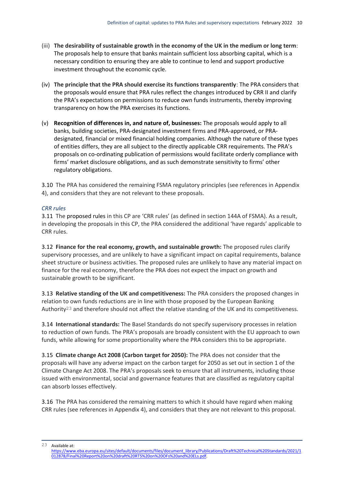- (iii) **The desirability of sustainable growth in the economy of the UK in the medium or long term**: The proposals help to ensure that banks maintain sufficient loss absorbing capital, which is a necessary condition to ensuring they are able to continue to lend and support productive investment throughout the economic cycle.
- (iv) **The principle that the PRA should exercise its functions transparently**: The PRA considers that the proposals would ensure that PRA rules reflect the changes introduced by CRR II and clarify the PRA's expectations on permissions to reduce own funds instruments, thereby improving transparency on how the PRA exercises its functions.
- (v) **Recognition of differences in, and nature of, businesses:** The proposals would apply to all banks, building societies, PRA-designated investment firms and PRA-approved, or PRAdesignated, financial or mixed financial holding companies. Although the nature of these types of entities differs, they are all subject to the directly applicable CRR requirements. The PRA's proposals on co-ordinating publication of permissions would facilitate orderly compliance with firms' market disclosure obligations, and as such demonstrate sensitivity to firms' other regulatory obligations.

3.10 The PRA has considered the remaining FSMA regulatory principles (see references in Appendix 4), and considers that they are not relevant to these proposals.

#### *CRR rules*

3.11 The proposed rules in this CP are 'CRR rules' (as defined in section 144A of FSMA). As a result, in developing the proposals in this CP, the PRA considered the additional 'have regards' applicable to CRR rules.

3.12 **Finance for the real economy, growth, and sustainable growth:** The proposed rules clarify supervisory processes, and are unlikely to have a significant impact on capital requirements, balance sheet structure or business activities. The proposed rules are unlikely to have any material impact on finance for the real economy, therefore the PRA does not expect the impact on growth and sustainable growth to be significant.

3.13 **Relative standing of the UK and competitiveness:** The PRA considers the proposed changes in relation to own funds reductions are in line with those proposed by the European Banking Authority23 and therefore should not affect the relative standing of the UK and its competitiveness.

3.14 **International standards:** The Basel Standards do not specify supervisory processes in relation to reduction of own funds. The PRA's proposals are broadly consistent with the EU approach to own funds, while allowing for some proportionality where the PRA considers this to be appropriate.

3.15 **Climate change Act 2008 (Carbon target for 2050):** The PRA does not consider that the proposals will have any adverse impact on the carbon target for 2050 as set out in section 1 of the Climate Change Act 2008. The PRA's proposals seek to ensure that all instruments, including those issued with environmental, social and governance features that are classified as regulatory capital can absorb losses effectively.

3.16 The PRA has considered the remaining matters to which it should have regard when making CRR rules (see references in Appendix 4), and considers that they are not relevant to this proposal.

 $23$ Available at:

[https://www.eba.europa.eu/sites/default/documents/files/document\\_library/Publications/Draft%20Technical%20Standards/2021/1](https://www.eba.europa.eu/sites/default/documents/files/document_library/Publications/Draft%20Technical%20Standards/2021/1012878/Final%20Report%20on%20draft%20RTS%20on%20OFs%20and%20ELs.pdf) [012878/Final%20Report%20on%20draft%20RTS%20on%20OFs%20and%20ELs.pdf.](https://www.eba.europa.eu/sites/default/documents/files/document_library/Publications/Draft%20Technical%20Standards/2021/1012878/Final%20Report%20on%20draft%20RTS%20on%20OFs%20and%20ELs.pdf)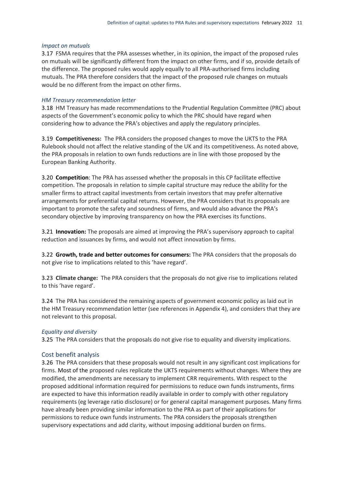#### *Impact on mutuals*

3.17 FSMA requires that the PRA assesses whether, in its opinion, the impact of the proposed rules on mutuals will be significantly different from the impact on other firms, and if so, provide details of the difference. The proposed rules would apply equally to all PRA-authorised firms including mutuals. The PRA therefore considers that the impact of the proposed rule changes on mutuals would be no different from the impact on other firms.

#### *HM Treasury recommendation letter*

3.18 HM Treasury has made recommendations to the Prudential Regulation Committee (PRC) about aspects of the Government's economic policy to which the PRC should have regard when considering how to advance the PRA's objectives and apply the regulatory principles.

3.19 **Competitiveness:** The PRA considers the proposed changes to move the UKTS to the PRA Rulebook should not affect the relative standing of the UK and its competitiveness. As noted above, the PRA proposals in relation to own funds reductions are in line with those proposed by the European Banking Authority.

3.20 **Competition**: The PRA has assessed whether the proposals in this CP facilitate effective competition. The proposals in relation to simple capital structure may reduce the ability for the smaller firms to attract capital investments from certain investors that may prefer alternative arrangements for preferential capital returns. However, the PRA considers that its proposals are important to promote the safety and soundness of firms, and would also advance the PRA's secondary objective by improving transparency on how the PRA exercises its functions.

3.21 **Innovation:** The proposals are aimed at improving the PRA's supervisory approach to capital reduction and issuances by firms, and would not affect innovation by firms.

3.22 **Growth, trade and better outcomes for consumers:** The PRA considers that the proposals do not give rise to implications related to this 'have regard'.

3.23 **Climate change:** The PRA considers that the proposals do not give rise to implications related to this 'have regard'.

3.24 The PRA has considered the remaining aspects of government economic policy as laid out in the HM Treasury recommendation letter (see references in Appendix 4), and considers that they are not relevant to this proposal.

#### *Equality and diversity*

3.25 The PRA considers that the proposals do not give rise to equality and diversity implications.

#### Cost benefit analysis

3.26 The PRA considers that these proposals would not result in any significant cost implications for firms. Most of the proposed rules replicate the UKTS requirements without changes. Where they are modified, the amendments are necessary to implement CRR requirements. With respect to the proposed additional information required for permissions to reduce own funds instruments, firms are expected to have this information readily available in order to comply with other regulatory requirements (eg leverage ratio disclosure) or for general capital management purposes. Many firms have already been providing similar information to the PRA as part of their applications for permissions to reduce own funds instruments. The PRA considers the proposals strengthen supervisory expectations and add clarity, without imposing additional burden on firms.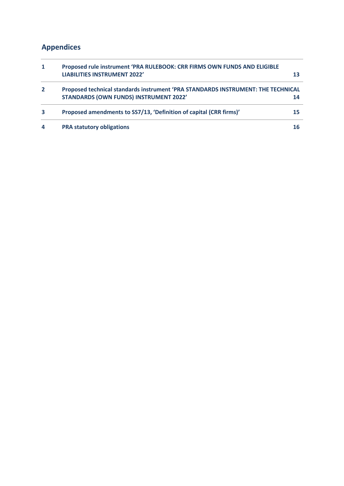### <span id="page-14-0"></span>**Appendices**

| 1              | Proposed rule instrument 'PRA RULEBOOK: CRR FIRMS OWN FUNDS AND ELIGIBLE<br><b>LIABILITIES INSTRUMENT 2022'</b>                   |  |
|----------------|-----------------------------------------------------------------------------------------------------------------------------------|--|
| $\overline{2}$ | Proposed technical standards instrument 'PRA STANDARDS INSTRUMENT: THE TECHNICAL<br><b>STANDARDS (OWN FUNDS) INSTRUMENT 2022'</b> |  |
| 3              | Proposed amendments to SS7/13, 'Definition of capital (CRR firms)'                                                                |  |
| 4              | <b>PRA statutory obligations</b>                                                                                                  |  |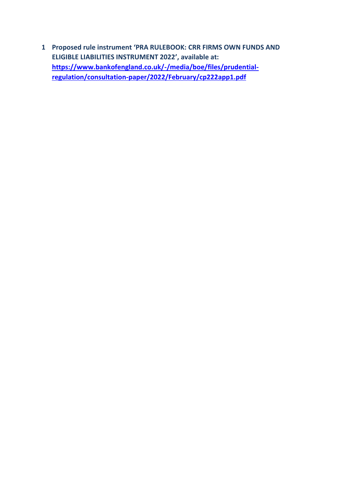<span id="page-15-0"></span>**1 Proposed rule instrument 'PRA RULEBOOK: CRR FIRMS OWN FUNDS AND ELIGIBLE LIABILITIES INSTRUMENT 2022', available at: [https://www.bankofengland.co.uk/-/media/boe/files/prudential](https://www.bankofengland.co.uk/-/media/boe/files/prudential-regulation/consultation-paper/2022/February/cp222app1.pdf)[regulation/consultation-paper/2022/February/cp222app1.pdf](https://www.bankofengland.co.uk/-/media/boe/files/prudential-regulation/consultation-paper/2022/February/cp222app1.pdf)**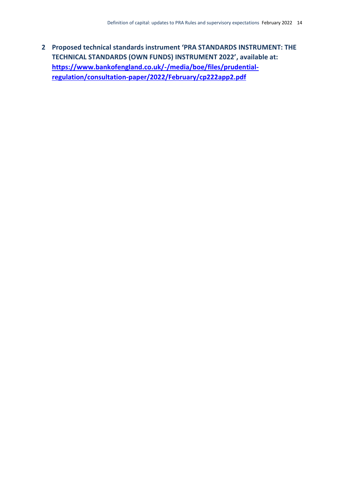<span id="page-16-0"></span>**2 Proposed technical standards instrument 'PRA STANDARDS INSTRUMENT: THE TECHNICAL STANDARDS (OWN FUNDS) INSTRUMENT 2022', available at: [https://www.bankofengland.co.uk/-/media/boe/files/prudential](https://www.bankofengland.co.uk/-/media/boe/files/prudential-regulation/consultation-paper/2022/February/cp222app2.pdf)[regulation/consultation-paper/2022/February/cp222app2.pdf](https://www.bankofengland.co.uk/-/media/boe/files/prudential-regulation/consultation-paper/2022/February/cp222app2.pdf)**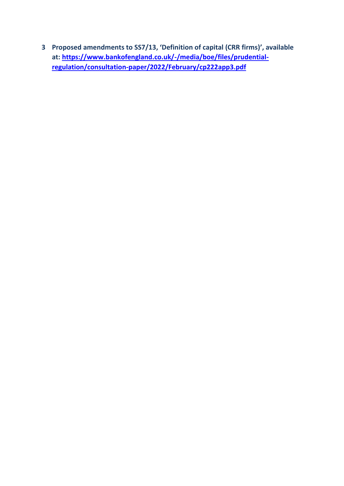<span id="page-17-0"></span>**3 Proposed amendments to SS7/13, 'Definition of capital (CRR firms)', available at: [https://www.bankofengland.co.uk/-/media/boe/files/prudential](https://www.bankofengland.co.uk/-/media/boe/files/prudential-regulation/consultation-paper/2022/February/cp222app3.pdf)[regulation/consultation-paper/2022/February/cp222app3.pdf](https://www.bankofengland.co.uk/-/media/boe/files/prudential-regulation/consultation-paper/2022/February/cp222app3.pdf)**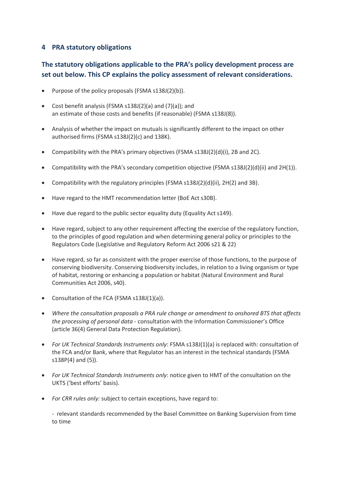#### <span id="page-18-0"></span>**4 PRA statutory obligations**

#### **The statutory obligations applicable to the PRA's policy development process are set out below. This CP explains the policy assessment of relevant considerations.**

- Purpose of the policy proposals (FSMA  $s138J(2)(b)$ ).
- Cost benefit analysis (FSMA s138J(2)(a) and (7)(a)); and an estimate of those costs and benefits (if reasonable) (FSMA s138J(8)).
- Analysis of whether the impact on mutuals is significantly different to the impact on other authorised firms (FSMA s138J(2)(c) and 138K).
- Compatibility with the PRA's primary objectives (FSMA  $s138J(2)(d)(i)$ , 2B and 2C).
- Compatibility with the PRA's secondary competition objective (FSMA  $s138J(2)(d)(ii)$  and  $2H(1)$ ).
- Compatibility with the regulatory principles (FSMA s138J(2)(d)(ii), 2H(2) and 3B).
- Have regard to the HMT recommendation letter (BoE Act s30B).
- Have due regard to the public sector equality duty (Equality Act s149).
- Have regard, subject to any other requirement affecting the exercise of the regulatory function, to the principles of good regulation and when determining general policy or principles to the Regulators Code (Legislative and Regulatory Reform Act 2006 s21 & 22)
- Have regard, so far as consistent with the proper exercise of those functions, to the purpose of conserving biodiversity. Conserving biodiversity includes, in relation to a living organism or type of habitat, restoring or enhancing a population or habitat (Natural Environment and Rural Communities Act 2006, s40).
- Consultation of the FCA (FSMA s138J(1)(a)).
- *Where the consultation proposals a PRA rule change or amendment to onshored BTS that affects the processing of personal data* - consultation with the Information Commissioner's Office (article 36(4) General Data Protection Regulation).
- *For UK Technical Standards Instruments only*: FSMA s138J(1)(a) is replaced with: consultation of the FCA and/or Bank, where that Regulator has an interest in the technical standards (FSMA s138P(4) and (5)).
- *For UK Technical Standards Instruments only*: notice given to HMT of the consultation on the UKTS ('best efforts' basis).
- *For CRR rules only:* subject to certain exceptions, have regard to:

- relevant standards recommended by the Basel Committee on Banking Supervision from time to time